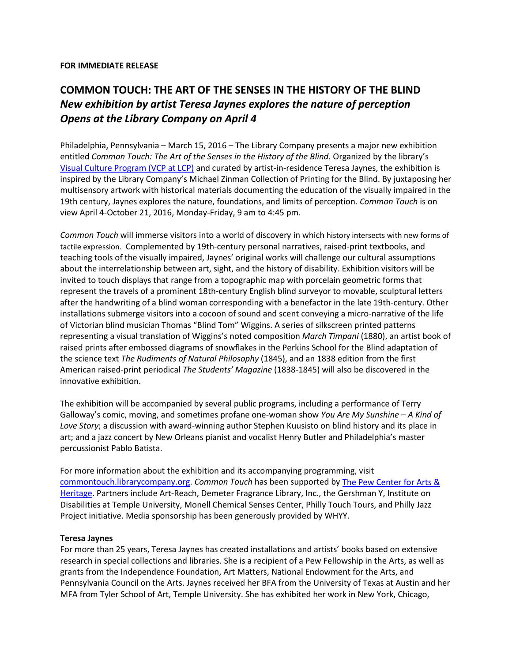#### **FOR IMMEDIATE RELEASE**

# **COMMON TOUCH: THE ART OF THE SENSES IN THE HISTORY OF THE BLIND** *New exhibition by artist Teresa Jaynes explores the nature of perception Opens at the Library Company on April 4*

Philadelphia, Pennsylvania – March 15, 2016 – The Library Company presents a major new exhibition entitled *Common Touch: The Art of the Senses in the History of the Blind*. Organized by the library's [Visual Culture Program \(VCP at LCP\)](http://www.librarycompany.org/visualculture/index.htm) and curated by artist-in-residence Teresa Jaynes, the exhibition is inspired by the Library Company's Michael Zinman Collection of Printing for the Blind. By juxtaposing her multisensory artwork with historical materials documenting the education of the visually impaired in the 19th century, Jaynes explores the nature, foundations, and limits of perception. *Common Touch* is on view April 4-October 21, 2016, Monday-Friday, 9 am to 4:45 pm.

*Common Touch* will immerse visitors into a world of discovery in which history intersects with new forms of tactile expression. Complemented by 19th-century personal narratives, raised-print textbooks, and teaching tools of the visually impaired, Jaynes' original works will challenge our cultural assumptions about the interrelationship between art, sight, and the history of disability. Exhibition visitors will be invited to touch displays that range from a topographic map with porcelain geometric forms that represent the travels of a prominent 18th-century English blind surveyor to movable, sculptural letters after the handwriting of a blind woman corresponding with a benefactor in the late 19th-century. Other installations submerge visitors into a cocoon of sound and scent conveying a micro-narrative of the life of Victorian blind musician Thomas "Blind Tom" Wiggins. A series of silkscreen printed patterns representing a visual translation of Wiggins's noted composition *March Timpani* (1880), an artist book of raised prints after embossed diagrams of snowflakes in the Perkins School for the Blind adaptation of the science text *The Rudiments of Natural Philosophy* (1845), and an 1838 edition from the first American raised-print periodical *The Students' Magazine* (1838-1845) will also be discovered in the innovative exhibition.

The exhibition will be accompanied by several public programs, including a performance of Terry Galloway's comic, moving, and sometimes profane one-woman show *You Are My Sunshine – A Kind of Love Story*; a discussion with award-winning author Stephen Kuusisto on blind history and its place in art; and a jazz concert by New Orleans pianist and vocalist Henry Butler and Philadelphia's master percussionist Pablo Batista.

For more information about the exhibition and its accompanying programming, visit [commontouch.librarycompany.org.](http://commontouch.librarycompany.org/blog-grid/) *Common Touch* has been supported by [The Pew Center for Arts &](http://www.pcah.us/)  [Heritage.](http://www.pcah.us/) Partners include Art-Reach, Demeter Fragrance Library, Inc., the Gershman Y, Institute on Disabilities at Temple University, Monell Chemical Senses Center, Philly Touch Tours, and Philly Jazz Project initiative. Media sponsorship has been generously provided by WHYY.

### **Teresa Jaynes**

For more than 25 years, Teresa Jaynes has created installations and artists' books based on extensive research in special collections and libraries. She is a recipient of a Pew Fellowship in the Arts, as well as grants from the Independence Foundation, Art Matters, National Endowment for the Arts, and Pennsylvania Council on the Arts. Jaynes received her BFA from the University of Texas at Austin and her MFA from Tyler School of Art, Temple University. She has exhibited her work in New York, Chicago,